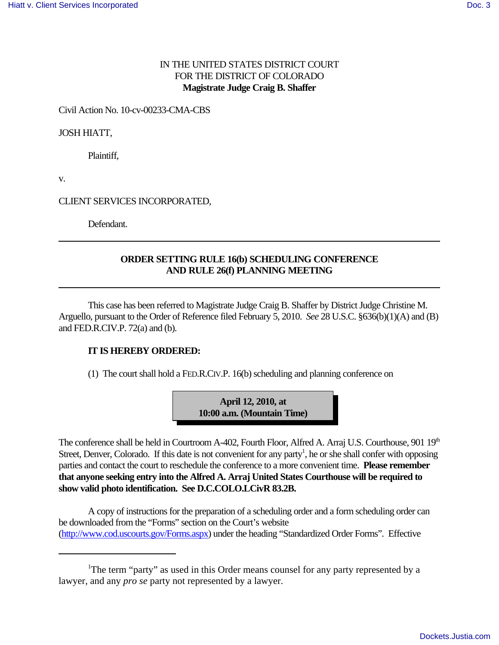## IN THE UNITED STATES DISTRICT COURT FOR THE DISTRICT OF COLORADO **Magistrate Judge Craig B. Shaffer**

Civil Action No. 10-cv-00233-CMA-CBS

JOSH HIATT,

Plaintiff,

v.

CLIENT SERVICES INCORPORATED,

Defendant.

## **ORDER SETTING RULE 16(b) SCHEDULING CONFERENCE AND RULE 26(f) PLANNING MEETING**

This case has been referred to Magistrate Judge Craig B. Shaffer by District Judge Christine M. Arguello, pursuant to the Order of Reference filed February 5, 2010. *See* 28 U.S.C. §636(b)(1)(A) and (B) and FED.R.CIV.P. 72(a) and (b).

## **IT IS HEREBY ORDERED:**

 $(1)$  The court shall hold a FED.R.CIV.P. 16(b) scheduling and planning conference on

**April 12, 2010, at 10:00 a.m. (Mountain Time)**

The conference shall be held in Courtroom A-402, Fourth Floor, Alfred A. Arraj U.S. Courthouse, 901  $19<sup>th</sup>$ Street, Denver, Colorado. If this date is not convenient for any party<sup>1</sup>, he or she shall confer with opposing parties and contact the court to reschedule the conference to a more convenient time. **Please remember that anyone seeking entry into the Alfred A. Arraj United States Courthouse will be required to show valid photo identification. See D.C.COLO.LCivR 83.2B.**

A copy of instructions for the preparation of a scheduling order and a form scheduling order can be downloaded from the "Forms" section on the Court's website (http://www.cod.uscourts.gov/Forms.aspx) under the heading "Standardized Order Forms". Effective

<sup>&</sup>lt;sup>1</sup>The term "party" as used in this Order means counsel for any party represented by a lawyer, and any *pro se* party not represented by a lawyer.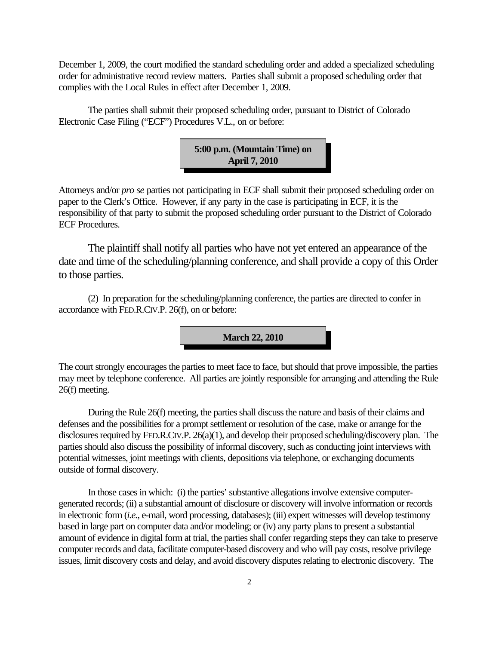December 1, 2009, the court modified the standard scheduling order and added a specialized scheduling order for administrative record review matters. Parties shall submit a proposed scheduling order that complies with the Local Rules in effect after December 1, 2009.

The parties shall submit their proposed scheduling order, pursuant to District of Colorado Electronic Case Filing ("ECF") Procedures V.L., on or before:



Attorneys and/or *pro se* parties not participating in ECF shall submit their proposed scheduling order on paper to the Clerk's Office. However, if any party in the case is participating in ECF, it is the responsibility of that party to submit the proposed scheduling order pursuant to the District of Colorado ECF Procedures.

The plaintiff shall notify all parties who have not yet entered an appearance of the date and time of the scheduling/planning conference, and shall provide a copy of this Order to those parties.

(2) In preparation for the scheduling/planning conference, the parties are directed to confer in accordance with FED.R.CIV.P. 26(f), on or before:



The court strongly encourages the parties to meet face to face, but should that prove impossible, the parties may meet by telephone conference. All parties are jointly responsible for arranging and attending the Rule 26(f) meeting.

During the Rule 26(f) meeting, the parties shall discuss the nature and basis of their claims and defenses and the possibilities for a prompt settlement or resolution of the case, make or arrange for the disclosures required by FED.R.CIV.P. 26(a)(1), and develop their proposed scheduling/discovery plan. The parties should also discuss the possibility of informal discovery, such as conducting joint interviews with potential witnesses, joint meetings with clients, depositions via telephone, or exchanging documents outside of formal discovery.

In those cases in which: (i) the parties' substantive allegations involve extensive computergenerated records; (ii) a substantial amount of disclosure or discovery will involve information or records in electronic form (*i.e.,* e-mail, word processing, databases); (iii) expert witnesses will develop testimony based in large part on computer data and/or modeling; or (iv) any party plans to present a substantial amount of evidence in digital form at trial, the parties shall confer regarding steps they can take to preserve computer records and data, facilitate computer-based discovery and who will pay costs, resolve privilege issues, limit discovery costs and delay, and avoid discovery disputes relating to electronic discovery. The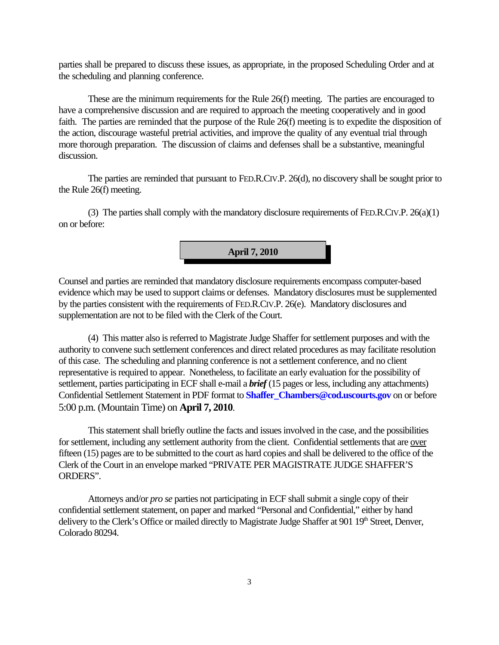parties shall be prepared to discuss these issues, as appropriate, in the proposed Scheduling Order and at the scheduling and planning conference.

These are the minimum requirements for the Rule 26(f) meeting. The parties are encouraged to have a comprehensive discussion and are required to approach the meeting cooperatively and in good faith. The parties are reminded that the purpose of the Rule 26(f) meeting is to expedite the disposition of the action, discourage wasteful pretrial activities, and improve the quality of any eventual trial through more thorough preparation. The discussion of claims and defenses shall be a substantive, meaningful discussion.

The parties are reminded that pursuant to FED.R.CIV.P. 26(d), no discovery shall be sought prior to the Rule 26(f) meeting.

(3) The parties shall comply with the mandatory disclosure requirements of FED.R.CIV.P. 26(a)(1) on or before:



Counsel and parties are reminded that mandatory disclosure requirements encompass computer-based evidence which may be used to support claims or defenses. Mandatory disclosures must be supplemented by the parties consistent with the requirements of FED.R.CIV.P. 26(e). Mandatory disclosures and supplementation are not to be filed with the Clerk of the Court.

(4) This matter also is referred to Magistrate Judge Shaffer for settlement purposes and with the authority to convene such settlement conferences and direct related procedures as may facilitate resolution of this case. The scheduling and planning conference is not a settlement conference, and no client representative is required to appear. Nonetheless, to facilitate an early evaluation for the possibility of settlement, parties participating in ECF shall e-mail a *brief* (15 pages or less, including any attachments) Confidential Settlement Statement in PDF format to **Shaffer\_Chambers@cod.uscourts.gov** on or before 5:00 p.m. (Mountain Time) on **April 7, 2010**.

This statement shall briefly outline the facts and issues involved in the case, and the possibilities for settlement, including any settlement authority from the client. Confidential settlements that are over fifteen (15) pages are to be submitted to the court as hard copies and shall be delivered to the office of the Clerk of the Court in an envelope marked "PRIVATE PER MAGISTRATE JUDGE SHAFFER'S ORDERS".

Attorneys and/or *pro se* parties not participating in ECF shall submit a single copy of their confidential settlement statement, on paper and marked "Personal and Confidential," either by hand delivery to the Clerk's Office or mailed directly to Magistrate Judge Shaffer at 901 19<sup>th</sup> Street, Denver, Colorado 80294.